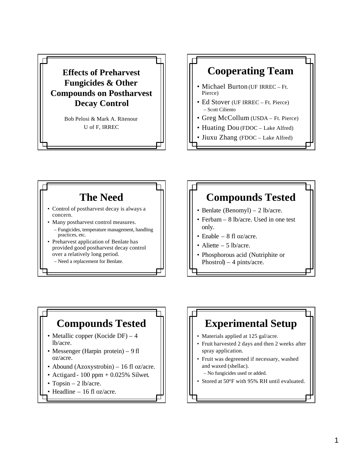

### **Cooperating Team**

- Michael Burton (UF IRREC Ft. Pierce)
- Ed Stover (UF IRREC Ft. Pierce) – Scott Ciliento
- Greg McCollum (USDA Ft. Pierce)
- Huating Dou (FDOC Lake Alfred)
- Jiuxu Zhang (FDOC Lake Alfred)

# **The Need**

- Control of postharvest decay is always a concern.
- Many postharvest control measures.
	- Fungicides, temperature management, handling practices, etc.
- Preharvest application of Benlate has provided good postharvest decay control over a relatively long period.
	- Need a replacement for Benlate.

# **Compounds Tested**

- Benlate (Benomyl) 2 lb/acre.
- Ferbam 8 lb/acre. Used in one test only.
- Enable 8 fl oz/acre.
- Aliette  $-5$  lb/acre.
- Phosphorous acid (Nutriphite or Phostrol $) - 4$  pints/acre.

### **Compounds Tested**

- Metallic copper (Kocide DF) 4 lb/acre.
- Messenger (Harpin protein) 9 fl oz/acre.
- Abound (Azoxystrobin) 16 fl oz/acre.
- Actigard 100 ppm +  $0.025\%$  Silwet.
- Topsin  $-2$  lb/acre.
- Headline 16 fl oz/acre.

#### **Experimental Setup** • Materials applied at 125 gal/acre. • Fruit harvested 2 days and then 2 weeks after spray application. • Fruit was degreened if necessary, washed and waxed (shellac).

- No fungicides used or added.
- Stored at 50°F with 95% RH until evaluated.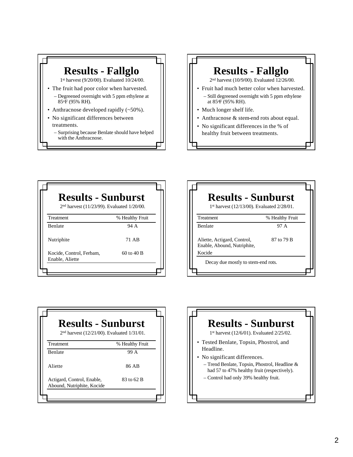### **Results - Fallglo**

1st harvest (9/20/00). Evaluated 10/24/00.

- The fruit had poor color when harvested.
	- Degreened overnight with 5 ppm ethylene at 85oF (95% RH).
- Anthracnose developed rapidly (~50%).
- No significant differences between treatments.
	- Surprising because Benlate should have helped with the Anthracnose.

# **Results - Fallglo**

2nd harvest (10/9/00). Evaluated 12/26/00.

- Fruit had much better color when harvested. – Still degreened overnight with 5 ppm ethylene at 85oF (95% RH).
- Much longer shelf life.
- Anthracnose & stem-end rots about equal.
- No significant differences in the % of healthy fruit between treatments.

| <b>Results - Sunburst</b><br>2 <sup>nd</sup> harvest (11/23/99). Evaluated 1/20/00. |                 |
|-------------------------------------------------------------------------------------|-----------------|
| <b>Treatment</b>                                                                    | % Healthy Fruit |
| <b>Benlate</b>                                                                      | 94 A            |
| Nutriphite                                                                          | 71 AB           |
| Kocide, Control, Ferbam,<br>Enable, Aliette                                         | $60$ to $40$ B  |

| <b>Results - Sunburst</b><br>1 <sup>st</sup> harvest (12/13/00). Evaluated 2/28/01. |                 |
|-------------------------------------------------------------------------------------|-----------------|
| Treatment                                                                           | % Healthy Fruit |
| <b>Benlate</b>                                                                      | 97 A            |
| Aliette, Actigard, Control,<br>Enable, Abound, Nutriphite,<br>Kocide                | 87 to 79 B      |
| Decay due mostly to stem-end rots.                                                  |                 |
|                                                                                     |                 |

| <b>Results - Sunburst</b><br>2 <sup>nd</sup> harvest (12/21/00). Evaluated 1/31/01. |            |
|-------------------------------------------------------------------------------------|------------|
|                                                                                     |            |
| <b>Benlate</b>                                                                      | 99 A       |
| Aliette                                                                             | 86 AB      |
| Actigard, Control, Enable,<br>Abound, Nutriphite, Kocide                            | 83 to 62 B |

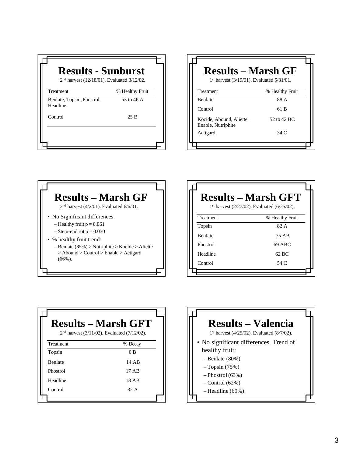| <b>Results - Sunburst</b><br>2 <sup>nd</sup> harvest (12/18/01). Evaluated 3/12/02. |                 |
|-------------------------------------------------------------------------------------|-----------------|
| <b>Treatment</b>                                                                    | % Healthy Fruit |
| Benlate, Topsin, Phostrol,<br>Headline                                              | 53 to 46 A      |
| Control                                                                             | 25B             |
|                                                                                     |                 |
|                                                                                     |                 |

| <b>Results – Marsh GF</b><br>1st harvest (3/19/01). Evaluated 5/31/01. |
|------------------------------------------------------------------------|
| % Healthy Fruit                                                        |
| 88 A                                                                   |
| 61 B                                                                   |
| 52 to 42 BC                                                            |
| 34 C                                                                   |
|                                                                        |



|                | <b>Results – Marsh GFT</b><br>1 <sup>st</sup> harvest (2/27/02). Evaluated (6/25/02). |
|----------------|---------------------------------------------------------------------------------------|
| Treatment      | % Healthy Fruit                                                                       |
| Topsin         | 82. A                                                                                 |
| <b>Benlate</b> | 75 AB                                                                                 |
| Phostrol       | 69 ABC                                                                                |
| Headline       | 62 BC                                                                                 |
| Control        | 54 C                                                                                  |
|                |                                                                                       |

| <b>Results – Marsh GFT</b><br>$2nd$ harvest (3/11/02). Evaluated (7/12/02). |         |
|-----------------------------------------------------------------------------|---------|
| Treatment                                                                   | % Decay |
| Topsin                                                                      | 6 B     |
| <b>Benlate</b>                                                              | 14 AB   |
| Phostrol                                                                    | 17 AB   |
| Headline                                                                    | 18 AB   |
| Control                                                                     | 32. A   |
|                                                                             |         |